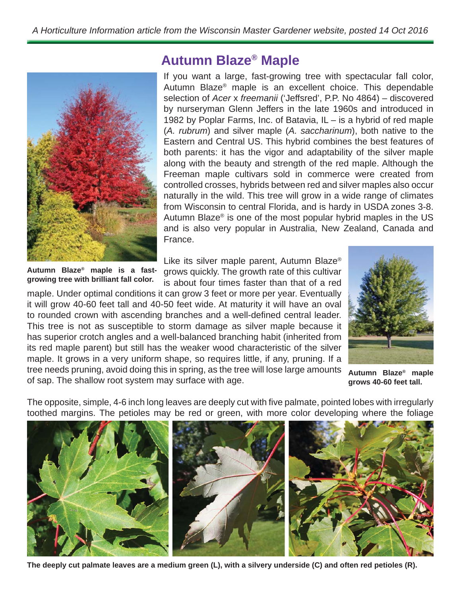

**Autumn Blaze® maple is a fastgrowing tree with brilliant fall color.**

**Autumn Blaze® Maple**

If you want a large, fast-growing tree with spectacular fall color, Autumn Blaze® maple is an excellent choice. This dependable selection of *Acer* x *freemanii* ('Jeffsred', P.P. No 4864) – discovered by nurseryman Glenn Jeffers in the late 1960s and introduced in 1982 by Poplar Farms, Inc. of Batavia, IL – is a hybrid of red maple (*A. rubrum*) and silver maple (*A. saccharinum*), both native to the Eastern and Central US. This hybrid combines the best features of both parents: it has the vigor and adaptability of the silver maple along with the beauty and strength of the red maple. Although the Freeman maple cultivars sold in commerce were created from controlled crosses, hybrids between red and silver maples also occur naturally in the wild. This tree will grow in a wide range of climates from Wisconsin to central Florida, and is hardy in USDA zones 3-8. Autumn Blaze® is one of the most popular hybrid maples in the US and is also very popular in Australia, New Zealand, Canada and France.

Like its silver maple parent, Autumn Blaze® grows quickly. The growth rate of this cultivar is about four times faster than that of a red

maple. Under optimal conditions it can grow 3 feet or more per year. Eventually it will grow 40-60 feet tall and 40-50 feet wide. At maturity it will have an oval to rounded crown with ascending branches and a well-defined central leader. This tree is not as susceptible to storm damage as silver maple because it has superior crotch angles and a well-balanced branching habit (inherited from its red maple parent) but still has the weaker wood characteristic of the silver maple. It grows in a very uniform shape, so requires little, if any, pruning. If a tree needs pruning, avoid doing this in spring, as the tree will lose large amounts of sap. The shallow root system may surface with age.



**Autumn Blaze® maple grows 40-60 feet tall.**

The opposite, simple, 4-6 inch long leaves are deeply cut with five palmate, pointed lobes with irregularly toothed margins. The petioles may be red or green, with more color developing where the foliage



**The deeply cut palmate leaves are a medium green (L), with a silvery underside (C) and often red petioles (R).**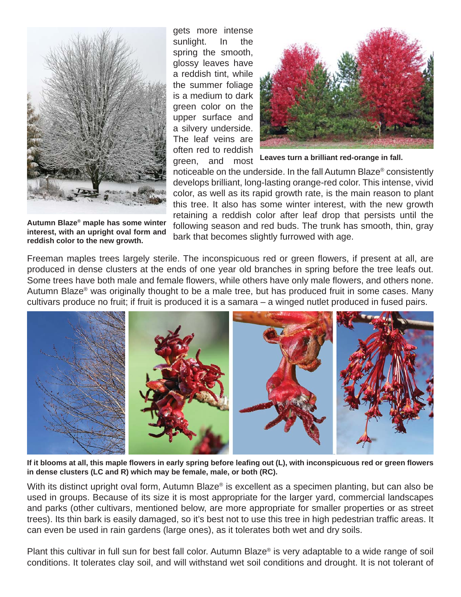

gets more intense sunlight. In the spring the smooth, glossy leaves have a reddish tint, while the summer foliage is a medium to dark green color on the upper surface and a silvery underside. The leaf veins are often red to reddish green, and most



**Leaves turn a brilliant red-orange in fall.**

noticeable on the underside. In the fall Autumn Blaze® consistently develops brilliant, long-lasting orange-red color. This intense, vivid color, as well as its rapid growth rate, is the main reason to plant this tree. It also has some winter interest, with the new growth retaining a reddish color after leaf drop that persists until the following season and red buds. The trunk has smooth, thin, gray bark that becomes slightly furrowed with age.

**Autumn Blaze® maple has some winter interest, with an upright oval form and reddish color to the new growth.**

Freeman maples trees largely sterile. The inconspicuous red or green flowers, if present at all, are produced in dense clusters at the ends of one year old branches in spring before the tree leafs out. Some trees have both male and female flowers, while others have only male flowers, and others none. Autumn Blaze® was originally thought to be a male tree, but has produced fruit in some cases. Many cultivars produce no fruit; if fruit is produced it is a samara – a winged nutlet produced in fused pairs.



**If it blooms at all, this maple fl owers in early spring before leafi ng out (L), with inconspicuous red or green fl owers in dense clusters (LC and R) which may be female, male, or both (RC).**

With its distinct upright oval form, Autumn Blaze<sup>®</sup> is excellent as a specimen planting, but can also be used in groups. Because of its size it is most appropriate for the larger yard, commercial landscapes and parks (other cultivars, mentioned below, are more appropriate for smaller properties or as street trees). Its thin bark is easily damaged, so it's best not to use this tree in high pedestrian traffic areas. It can even be used in rain gardens (large ones), as it tolerates both wet and dry soils.

Plant this cultivar in full sun for best fall color. Autumn Blaze® is very adaptable to a wide range of soil conditions. It tolerates clay soil, and will withstand wet soil conditions and drought. It is not tolerant of